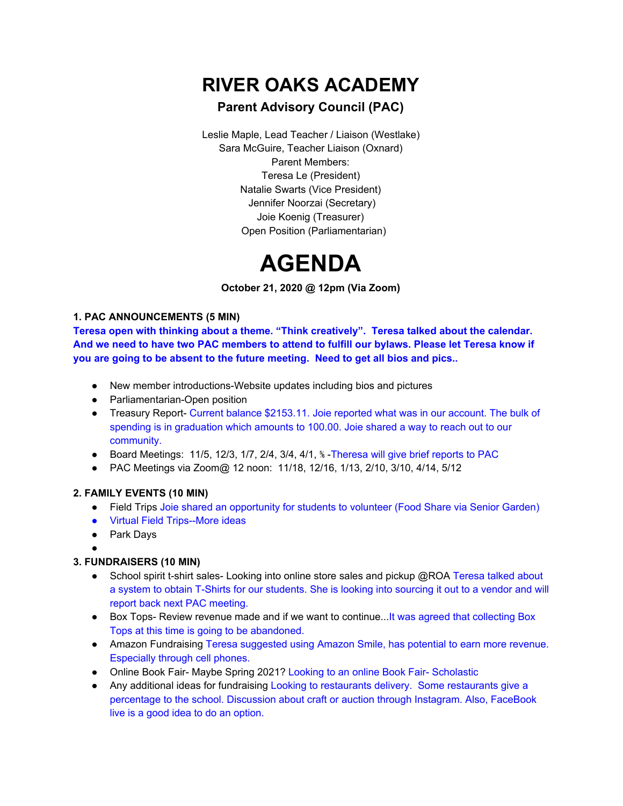## **RIVER OAKS ACADEMY**

### **Parent Advisory Council (PAC)**

Leslie Maple, Lead Teacher / Liaison (Westlake) Sara McGuire, Teacher Liaison (Oxnard) Parent Members: Teresa Le (President) Natalie Swarts (Vice President) Jennifer Noorzai (Secretary) Joie Koenig (Treasurer) Open Position (Parliamentarian)

# **AGENDA**

**October 21, 2020 @ 12pm (Via Zoom)**

#### **1. PAC ANNOUNCEMENTS (5 MIN)**

**Teresa open with thinking about a theme. "Think creatively". Teresa talked about the calendar.** And we need to have two PAC members to attend to fulfill our bylaws. Please let Teresa know if **you are going to be absent to the future meeting. Need to get all bios and pics..**

- New member introductions-Website updates including bios and pictures
- Parliamentarian-Open position
- Treasury Report- Current balance \$2153.11. Joie reported what was in our account. The bulk of spending is in graduation which amounts to 100.00. Joie shared a way to reach out to our community.
- Board Meetings: 11/5, 12/3, 1/7, 2/4, 3/4, 4/1, ⅚ -Theresa will give brief reports to PAC
- PAC Meetings via Zoom@ 12 noon: 11/18, 12/16, 1/13, 2/10, 3/10, 4/14, 5/12

#### **2. FAMILY EVENTS (10 MIN)**

- Field Trips Joie shared an opportunity for students to volunteer (Food Share via Senior Garden)
- Virtual Field Trips--More ideas
- Park Davs
- ●

#### **3. FUNDRAISERS (10 MIN)**

- School spirit t-shirt sales- Looking into online store sales and pickup @ROA Teresa talked about a system to obtain T-Shirts for our students. She is looking into sourcing it out to a vendor and will report back next PAC meeting.
- Box Tops- Review revenue made and if we want to continue...It was agreed that collecting Box Tops at this time is going to be abandoned.
- Amazon Fundraising Teresa suggested using Amazon Smile, has potential to earn more revenue. Especially through cell phones.
- Online Book Fair- Maybe Spring 2021? Looking to an online Book Fair- Scholastic
- Any additional ideas for fundraising Looking to restaurants delivery. Some restaurants give a percentage to the school. Discussion about craft or auction through Instagram. Also, FaceBook live is a good idea to do an option.